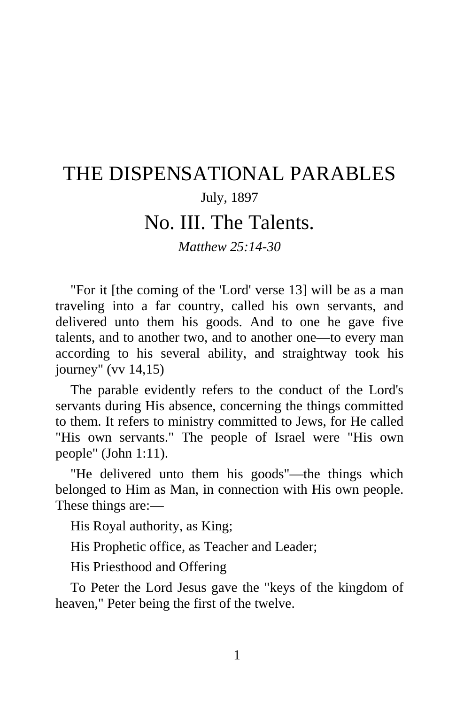# THE DISPENSATIONAL PARABLES

## July, 1897

# No. III. The Talents.

### *Matthew 25:14-30*

"For it [the coming of the 'Lord' verse 13] will be as a man traveling into a far country, called his own servants, and delivered unto them his goods. And to one he gave five talents, and to another two, and to another one—to every man according to his several ability, and straightway took his journey" (vv 14,15)

The parable evidently refers to the conduct of the Lord's servants during His absence, concerning the things committed to them. It refers to ministry committed to Jews, for He called "His own servants." The people of Israel were "His own people" (John 1:11).

"He delivered unto them his goods"—the things which belonged to Him as Man, in connection with His own people. These things are:—

His Royal authority, as King;

His Prophetic office, as Teacher and Leader;

His Priesthood and Offering

To Peter the Lord Jesus gave the "keys of the kingdom of heaven," Peter being the first of the twelve.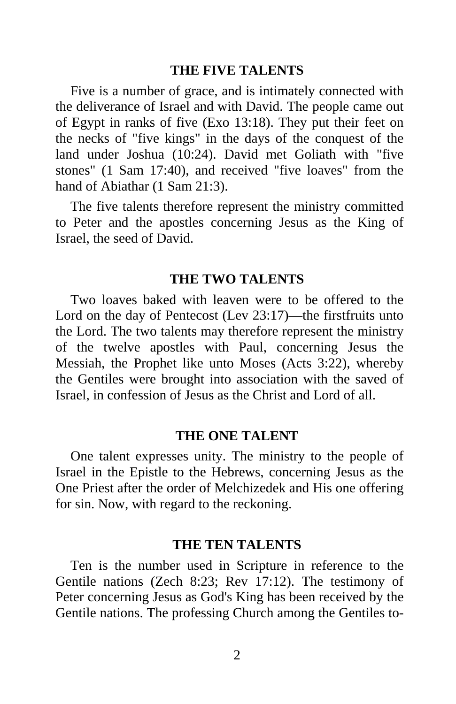#### **THE FIVE TALENTS**

Five is a number of grace, and is intimately connected with the deliverance of Israel and with David. The people came out of Egypt in ranks of five (Exo 13:18). They put their feet on the necks of "five kings" in the days of the conquest of the land under Joshua (10:24). David met Goliath with "five stones" (1 Sam 17:40), and received "five loaves" from the hand of Abiathar (1 Sam 21:3).

The five talents therefore represent the ministry committed to Peter and the apostles concerning Jesus as the King of Israel, the seed of David.

#### **THE TWO TALENTS**

Two loaves baked with leaven were to be offered to the Lord on the day of Pentecost (Lev 23:17)—the firstfruits unto the Lord. The two talents may therefore represent the ministry of the twelve apostles with Paul, concerning Jesus the Messiah, the Prophet like unto Moses (Acts 3:22), whereby the Gentiles were brought into association with the saved of Israel, in confession of Jesus as the Christ and Lord of all.

#### **THE ONE TALENT**

One talent expresses unity. The ministry to the people of Israel in the Epistle to the Hebrews, concerning Jesus as the One Priest after the order of Melchizedek and His one offering for sin. Now, with regard to the reckoning.

#### **THE TEN TALENTS**

Ten is the number used in Scripture in reference to the Gentile nations (Zech 8:23; Rev 17:12). The testimony of Peter concerning Jesus as God's King has been received by the Gentile nations. The professing Church among the Gentiles to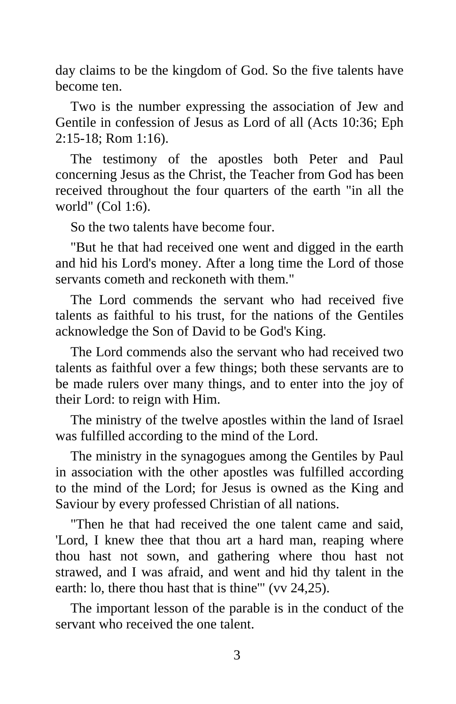day claims to be the kingdom of God. So the five talents have become ten.

Two is the number expressing the association of Jew and Gentile in confession of Jesus as Lord of all (Acts 10:36; Eph 2:15-18; Rom 1:16).

The testimony of the apostles both Peter and Paul concerning Jesus as the Christ, the Teacher from God has been received throughout the four quarters of the earth "in all the world" (Col 1:6).

So the two talents have become four.

"But he that had received one went and digged in the earth and hid his Lord's money. After a long time the Lord of those servants cometh and reckoneth with them."

The Lord commends the servant who had received five talents as faithful to his trust, for the nations of the Gentiles acknowledge the Son of David to be God's King.

The Lord commends also the servant who had received two talents as faithful over a few things; both these servants are to be made rulers over many things, and to enter into the joy of their Lord: to reign with Him.

The ministry of the twelve apostles within the land of Israel was fulfilled according to the mind of the Lord.

The ministry in the synagogues among the Gentiles by Paul in association with the other apostles was fulfilled according to the mind of the Lord; for Jesus is owned as the King and Saviour by every professed Christian of all nations.

"Then he that had received the one talent came and said, 'Lord, I knew thee that thou art a hard man, reaping where thou hast not sown, and gathering where thou hast not strawed, and I was afraid, and went and hid thy talent in the earth: lo, there thou hast that is thine'" (vv 24,25).

The important lesson of the parable is in the conduct of the servant who received the one talent.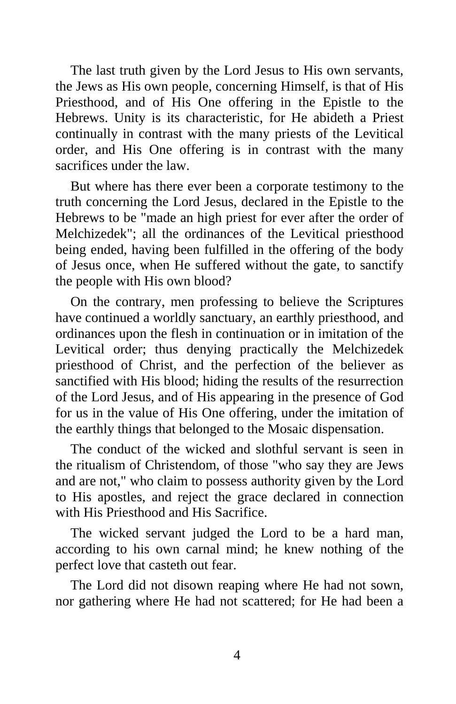The last truth given by the Lord Jesus to His own servants, the Jews as His own people, concerning Himself, is that of His Priesthood, and of His One offering in the Epistle to the Hebrews. Unity is its characteristic, for He abideth a Priest continually in contrast with the many priests of the Levitical order, and His One offering is in contrast with the many sacrifices under the law.

But where has there ever been a corporate testimony to the truth concerning the Lord Jesus, declared in the Epistle to the Hebrews to be "made an high priest for ever after the order of Melchizedek"; all the ordinances of the Levitical priesthood being ended, having been fulfilled in the offering of the body of Jesus once, when He suffered without the gate, to sanctify the people with His own blood?

On the contrary, men professing to believe the Scriptures have continued a worldly sanctuary, an earthly priesthood, and ordinances upon the flesh in continuation or in imitation of the Levitical order; thus denying practically the Melchizedek priesthood of Christ, and the perfection of the believer as sanctified with His blood; hiding the results of the resurrection of the Lord Jesus, and of His appearing in the presence of God for us in the value of His One offering, under the imitation of the earthly things that belonged to the Mosaic dispensation.

The conduct of the wicked and slothful servant is seen in the ritualism of Christendom, of those "who say they are Jews and are not," who claim to possess authority given by the Lord to His apostles, and reject the grace declared in connection with His Priesthood and His Sacrifice.

The wicked servant judged the Lord to be a hard man, according to his own carnal mind; he knew nothing of the perfect love that casteth out fear.

The Lord did not disown reaping where He had not sown, nor gathering where He had not scattered; for He had been a